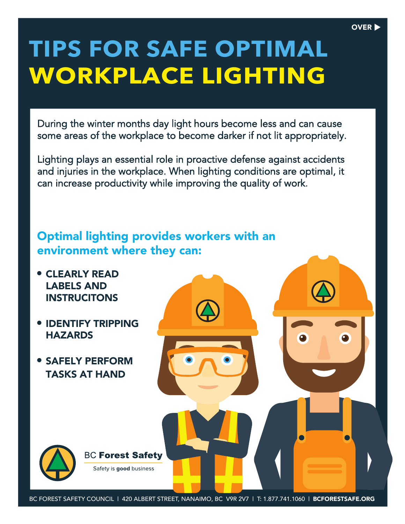## **TIPS FOR SAFE OPTIMAL WORKPLACE LIGHTING**

OVER **b** 

During the winter months day light hours become less and can cause some areas of the workplace to become darker if not lit appropriately.

Lighting plays an essential role in proactive defense against accidents and injuries in the workplace. When lighting conditions are optimal, it can increase productivity while improving the quality of work.

## Optimal lighting provides workers with an environment where they can: